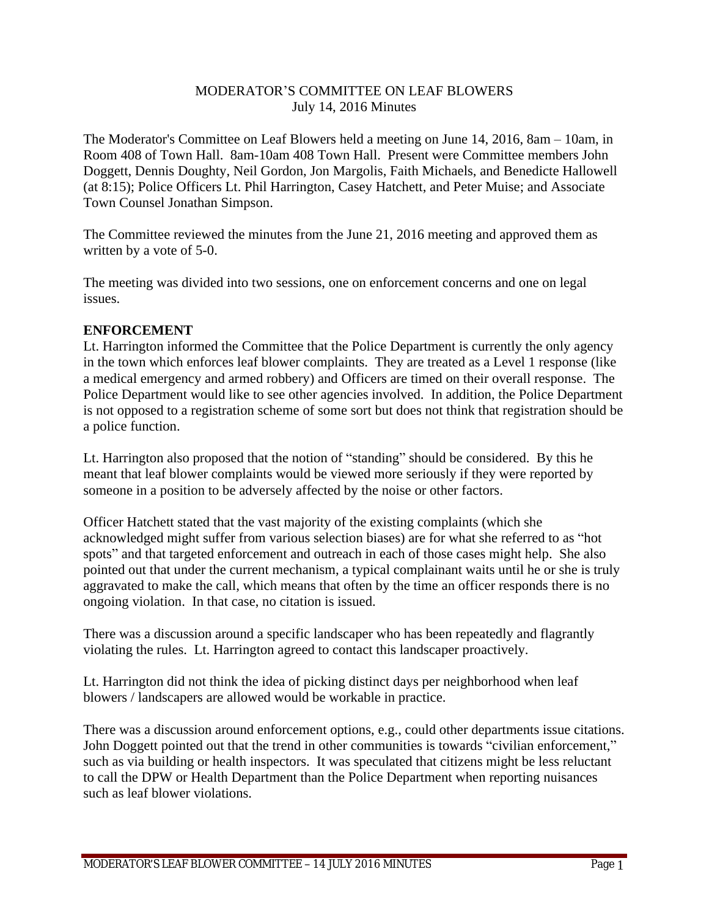## MODERATOR'S COMMITTEE ON LEAF BLOWERS July 14, 2016 Minutes

The Moderator's Committee on Leaf Blowers held a meeting on June 14, 2016, 8am – 10am, in Room 408 of Town Hall. 8am-10am 408 Town Hall. Present were Committee members John Doggett, Dennis Doughty, Neil Gordon, Jon Margolis, Faith Michaels, and Benedicte Hallowell (at 8:15); Police Officers Lt. Phil Harrington, Casey Hatchett, and Peter Muise; and Associate Town Counsel Jonathan Simpson.

The Committee reviewed the minutes from the June 21, 2016 meeting and approved them as written by a vote of 5-0.

The meeting was divided into two sessions, one on enforcement concerns and one on legal issues.

## **ENFORCEMENT**

Lt. Harrington informed the Committee that the Police Department is currently the only agency in the town which enforces leaf blower complaints. They are treated as a Level 1 response (like a medical emergency and armed robbery) and Officers are timed on their overall response. The Police Department would like to see other agencies involved. In addition, the Police Department is not opposed to a registration scheme of some sort but does not think that registration should be a police function.

Lt. Harrington also proposed that the notion of "standing" should be considered. By this he meant that leaf blower complaints would be viewed more seriously if they were reported by someone in a position to be adversely affected by the noise or other factors.

Officer Hatchett stated that the vast majority of the existing complaints (which she acknowledged might suffer from various selection biases) are for what she referred to as "hot spots" and that targeted enforcement and outreach in each of those cases might help. She also pointed out that under the current mechanism, a typical complainant waits until he or she is truly aggravated to make the call, which means that often by the time an officer responds there is no ongoing violation. In that case, no citation is issued.

There was a discussion around a specific landscaper who has been repeatedly and flagrantly violating the rules. Lt. Harrington agreed to contact this landscaper proactively.

Lt. Harrington did not think the idea of picking distinct days per neighborhood when leaf blowers / landscapers are allowed would be workable in practice.

There was a discussion around enforcement options, e.g., could other departments issue citations. John Doggett pointed out that the trend in other communities is towards "civilian enforcement," such as via building or health inspectors. It was speculated that citizens might be less reluctant to call the DPW or Health Department than the Police Department when reporting nuisances such as leaf blower violations.